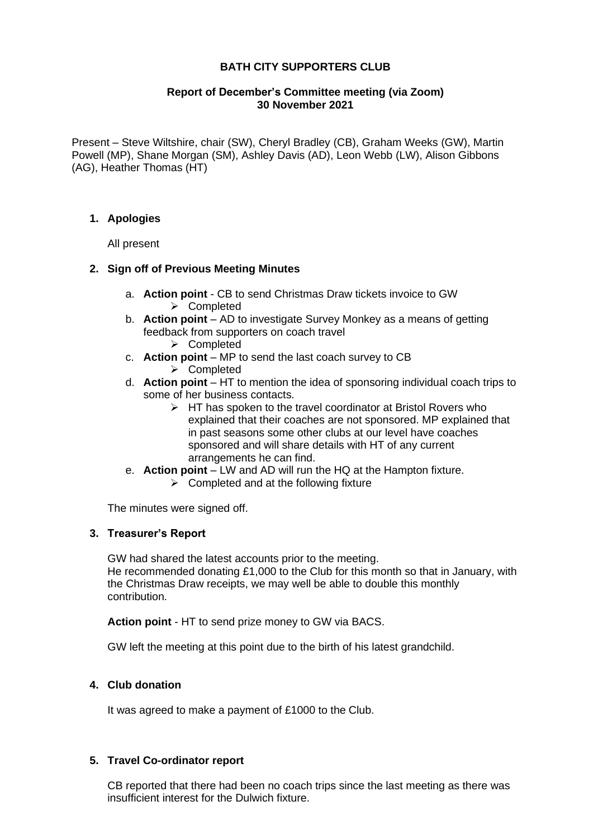# **BATH CITY SUPPORTERS CLUB**

### **Report of December's Committee meeting (via Zoom) 30 November 2021**

Present – Steve Wiltshire, chair (SW), Cheryl Bradley (CB), Graham Weeks (GW), Martin Powell (MP), Shane Morgan (SM), Ashley Davis (AD), Leon Webb (LW), Alison Gibbons (AG), Heather Thomas (HT)

## **1. Apologies**

All present

## **2. Sign off of Previous Meeting Minutes**

- a. **Action point** CB to send Christmas Draw tickets invoice to GW ➢ Completed
- b. **Action point** AD to investigate Survey Monkey as a means of getting feedback from supporters on coach travel
	- ➢ Completed
- c. **Action point** MP to send the last coach survey to CB
	- ➢ Completed
- d. **Action point** HT to mention the idea of sponsoring individual coach trips to some of her business contacts.
	- $\triangleright$  HT has spoken to the travel coordinator at Bristol Rovers who explained that their coaches are not sponsored. MP explained that in past seasons some other clubs at our level have coaches sponsored and will share details with HT of any current arrangements he can find.
- e. **Action point** LW and AD will run the HQ at the Hampton fixture.
	- $\triangleright$  Completed and at the following fixture

The minutes were signed off.

## **3. Treasurer's Report**

GW had shared the latest accounts prior to the meeting. He recommended donating £1,000 to the Club for this month so that in January, with the Christmas Draw receipts, we may well be able to double this monthly contribution.

**Action point** - HT to send prize money to GW via BACS.

GW left the meeting at this point due to the birth of his latest grandchild.

## **4. Club donation**

It was agreed to make a payment of £1000 to the Club.

## **5. Travel Co-ordinator report**

CB reported that there had been no coach trips since the last meeting as there was insufficient interest for the Dulwich fixture.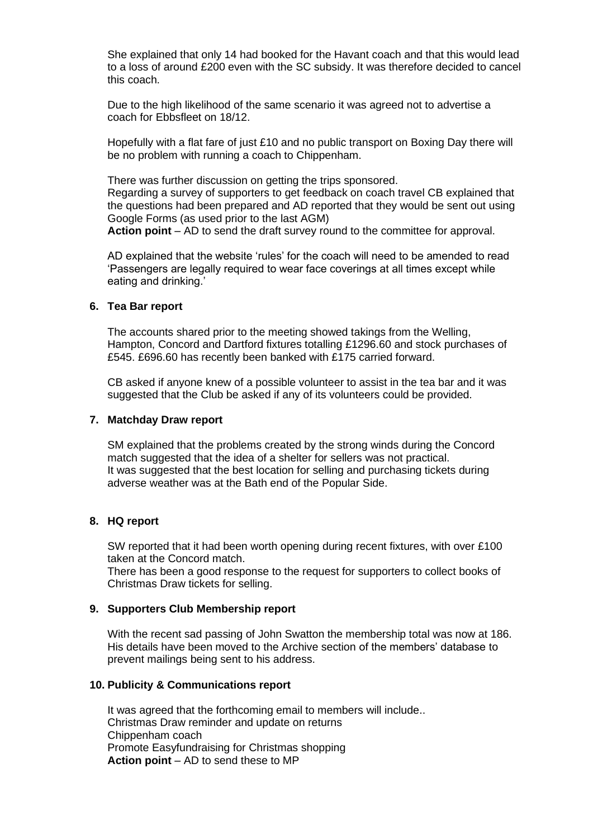She explained that only 14 had booked for the Havant coach and that this would lead to a loss of around £200 even with the SC subsidy. It was therefore decided to cancel this coach.

Due to the high likelihood of the same scenario it was agreed not to advertise a coach for Ebbsfleet on 18/12.

Hopefully with a flat fare of just £10 and no public transport on Boxing Day there will be no problem with running a coach to Chippenham.

There was further discussion on getting the trips sponsored. Regarding a survey of supporters to get feedback on coach travel CB explained that the questions had been prepared and AD reported that they would be sent out using Google Forms (as used prior to the last AGM)

**Action point** – AD to send the draft survey round to the committee for approval.

AD explained that the website 'rules' for the coach will need to be amended to read 'Passengers are legally required to wear face coverings at all times except while eating and drinking.'

#### **6. Tea Bar report**

The accounts shared prior to the meeting showed takings from the Welling, Hampton, Concord and Dartford fixtures totalling £1296.60 and stock purchases of £545. £696.60 has recently been banked with £175 carried forward.

CB asked if anyone knew of a possible volunteer to assist in the tea bar and it was suggested that the Club be asked if any of its volunteers could be provided.

#### **7. Matchday Draw report**

SM explained that the problems created by the strong winds during the Concord match suggested that the idea of a shelter for sellers was not practical. It was suggested that the best location for selling and purchasing tickets during adverse weather was at the Bath end of the Popular Side.

#### **8. HQ report**

SW reported that it had been worth opening during recent fixtures, with over £100 taken at the Concord match.

There has been a good response to the request for supporters to collect books of Christmas Draw tickets for selling.

#### **9. Supporters Club Membership report**

With the recent sad passing of John Swatton the membership total was now at 186. His details have been moved to the Archive section of the members' database to prevent mailings being sent to his address.

#### **10. Publicity & Communications report**

It was agreed that the forthcoming email to members will include.. Christmas Draw reminder and update on returns Chippenham coach Promote Easyfundraising for Christmas shopping **Action point** – AD to send these to MP